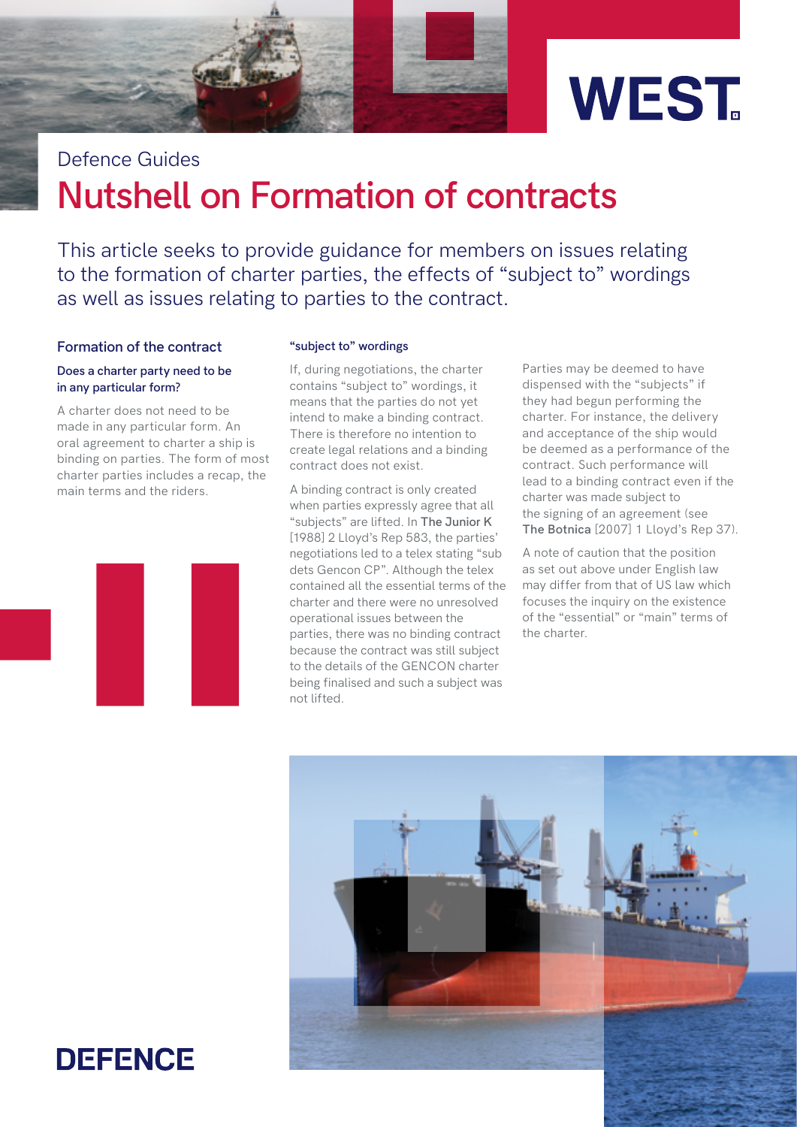



# **Nutshell on Formation of contracts** Defence Guides

This article seeks to provide guidance for members on issues relating to the formation of charter parties, the effects of "subject to" wordings as well as issues relating to parties to the contract.

### **Formation of the contract**

### **Does a charter party need to be in any particular form?**

A charter does not need to be made in any particular form. An oral agreement to charter a ship is binding on parties. The form of most charter parties includes a recap, the main terms and the riders.



### **"subject to" wordings**

If, during negotiations, the charter contains "subject to" wordings, it means that the parties do not yet intend to make a binding contract. There is therefore no intention to create legal relations and a binding contract does not exist.

A binding contract is only created when parties expressly agree that all "subjects" are lifted. In **The Junior K** [1988] 2 Lloyd's Rep 583, the parties' negotiations led to a telex stating "sub dets Gencon CP". Although the telex contained all the essential terms of the charter and there were no unresolved operational issues between the parties, there was no binding contract because the contract was still subject to the details of the GENCON charter being finalised and such a subject was not lifted.

Parties may be deemed to have dispensed with the "subjects" if they had begun performing the charter. For instance, the delivery and acceptance of the ship would be deemed as a performance of the contract. Such performance will lead to a binding contract even if the charter was made subject to the signing of an agreement (see **The Botnica** [2007] 1 Lloyd's Rep 37).

A note of caution that the position as set out above under English law may differ from that of US law which focuses the inquiry on the existence of the "essential" or "main" terms of the charter.



## **DEFENCE**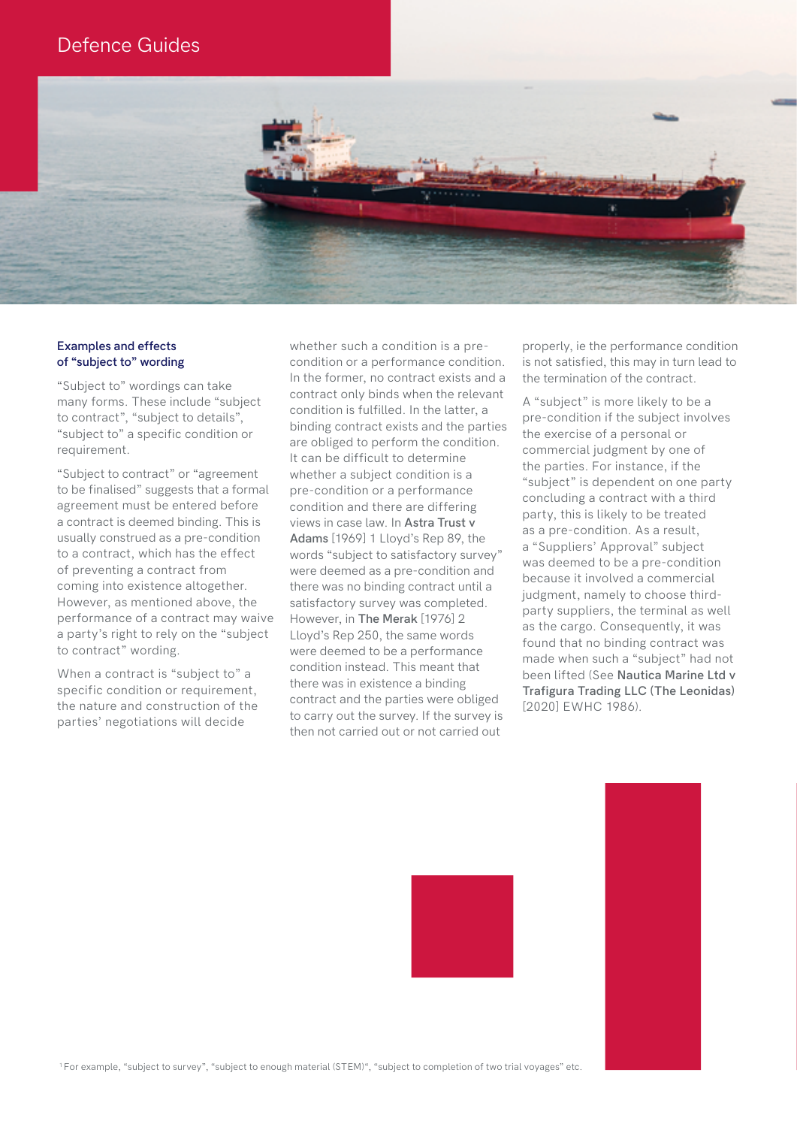### Defence Guides



### **Examples and effects of "subject to" wording**

"Subject to" wordings can take many forms. These include "subject to contract", "subject to details", "subject to" a specific condition or requirement.

"Subject to contract" or "agreement to be finalised" suggests that a formal agreement must be entered before a contract is deemed binding. This is usually construed as a pre-condition to a contract, which has the effect of preventing a contract from coming into existence altogether. However, as mentioned above, the performance of a contract may waive a party's right to rely on the "subject to contract" wording.

When a contract is "subject to" a specific condition or requirement, the nature and construction of the parties' negotiations will decide

whether such a condition is a precondition or a performance condition. In the former, no contract exists and a contract only binds when the relevant condition is fulfilled. In the latter, a binding contract exists and the parties are obliged to perform the condition. It can be difficult to determine whether a subject condition is a pre-condition or a performance condition and there are differing views in case law. In **Astra Trust v Adams** [1969] 1 Lloyd's Rep 89, the words "subject to satisfactory survey" were deemed as a pre-condition and there was no binding contract until a satisfactory survey was completed. However, in **The Merak** [1976] 2 Lloyd's Rep 250, the same words were deemed to be a performance condition instead. This meant that there was in existence a binding contract and the parties were obliged to carry out the survey. If the survey is then not carried out or not carried out

properly, ie the performance condition is not satisfied, this may in turn lead to the termination of the contract.

A "subject" is more likely to be a pre-condition if the subject involves the exercise of a personal or commercial judgment by one of the parties. For instance, if the "subject" is dependent on one party concluding a contract with a third party, this is likely to be treated as a pre-condition. As a result, a "Suppliers' Approval" subject was deemed to be a pre-condition because it involved a commercial judgment, namely to choose thirdparty suppliers, the terminal as well as the cargo. Consequently, it was found that no binding contract was made when such a "subject" had not been lifted (See **Nautica Marine Ltd v Trafigura Trading LLC (The Leonidas)**  [2020] EWHC 1986).



1 For example, "subject to survey", "subject to enough material (STEM)", "subject to completion of two trial voyages" etc.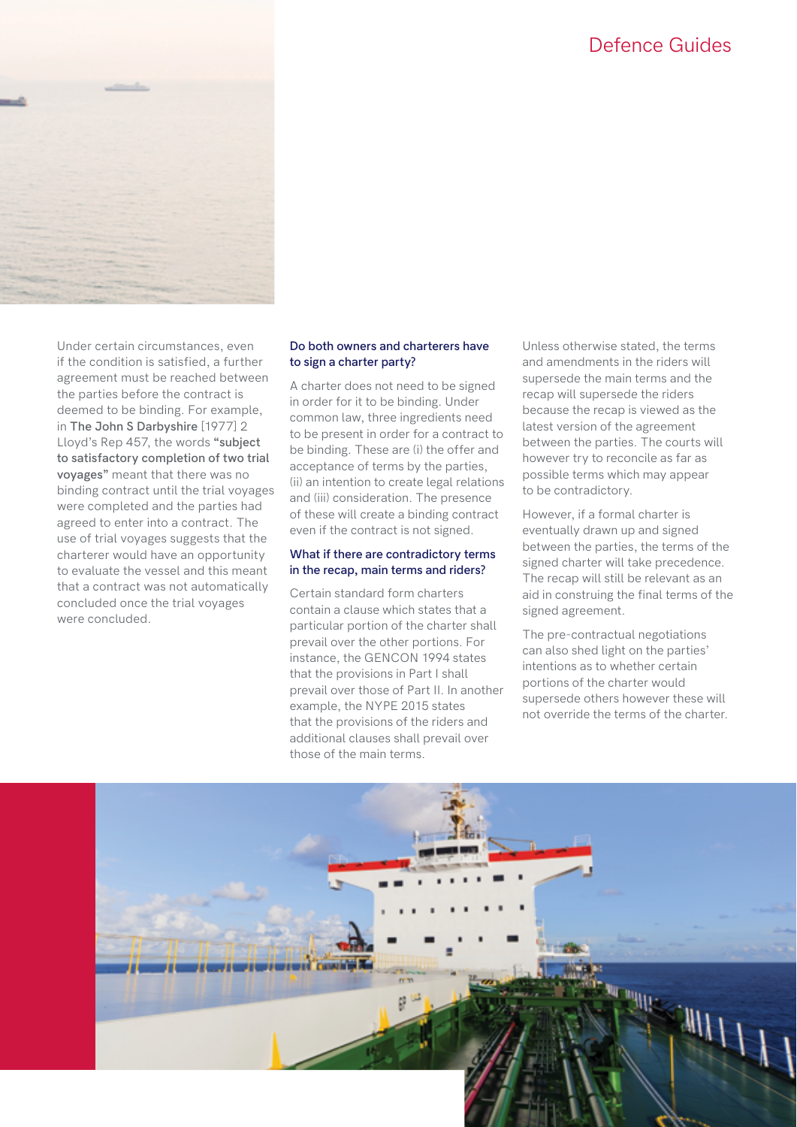### Defence Guides



Under certain circumstances, even if the condition is satisfied, a further agreement must be reached between the parties before the contract is deemed to be binding. For example, in **The John S Darbyshire** [1977] 2 Lloyd's Rep 457, the words **"subject to satisfactory completion of two trial voyages"** meant that there was no binding contract until the trial voyages were completed and the parties had agreed to enter into a contract. The use of trial voyages suggests that the charterer would have an opportunity to evaluate the vessel and this meant that a contract was not automatically concluded once the trial voyages were concluded.

### **Do both owners and charterers have to sign a charter party?**

A charter does not need to be signed in order for it to be binding. Under common law, three ingredients need to be present in order for a contract to be binding. These are (i) the offer and acceptance of terms by the parties, (ii) an intention to create legal relations and (iii) consideration. The presence of these will create a binding contract even if the contract is not signed.

### **What if there are contradictory terms in the recap, main terms and riders?**

Certain standard form charters contain a clause which states that a particular portion of the charter shall prevail over the other portions. For instance, the GENCON 1994 states that the provisions in Part I shall prevail over those of Part II. In another example, the NYPE 2015 states that the provisions of the riders and additional clauses shall prevail over those of the main terms.

Unless otherwise stated, the terms and amendments in the riders will supersede the main terms and the recap will supersede the riders because the recap is viewed as the latest version of the agreement between the parties. The courts will however try to reconcile as far as possible terms which may appear to be contradictory.

However, if a formal charter is eventually drawn up and signed between the parties, the terms of the signed charter will take precedence. The recap will still be relevant as an aid in construing the final terms of the signed agreement.

The pre-contractual negotiations can also shed light on the parties' intentions as to whether certain portions of the charter would supersede others however these will not override the terms of the charter.